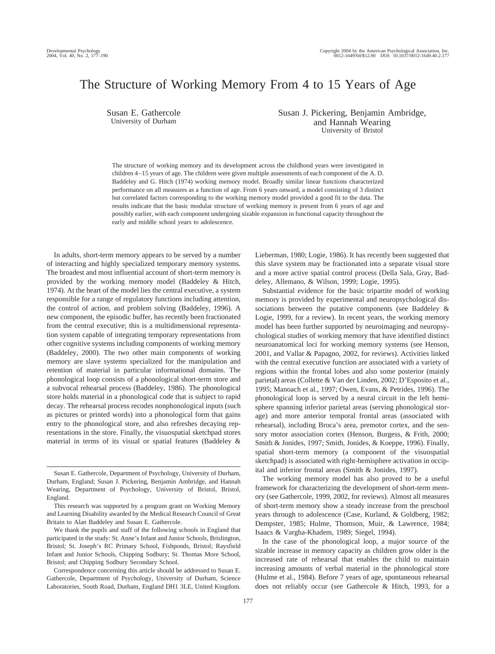## The Structure of Working Memory From 4 to 15 Years of Age

Susan E. Gathercole University of Durham

Susan J. Pickering, Benjamin Ambridge, and Hannah Wearing University of Bristol

Lieberman, 1980; Logie, 1986). It has recently been suggested that this slave system may be fractionated into a separate visual store and a more active spatial control process (Della Sala, Gray, Bad-

Substantial evidence for the basic tripartite model of working memory is provided by experimental and neuropsychological dissociations between the putative components (see Baddeley & Logie, 1999, for a review). In recent years, the working memory model has been further supported by neuroimaging and neuropsychological studies of working memory that have identified distinct neuroanatomical loci for working memory systems (see Henson, 2001, and Vallar & Papagno, 2002, for reviews). Activities linked with the central executive function are associated with a variety of regions within the frontal lobes and also some posterior (mainly parietal) areas (Collette & Van der Linden, 2002; D'Esposito et al., 1995; Manoach et al., 1997; Owen, Evans, & Petrides, 1996). The phonological loop is served by a neural circuit in the left hemisphere spanning inferior parietal areas (serving phonological storage) and more anterior temporal frontal areas (associated with rehearsal), including Broca's area, premotor cortex, and the sensory motor association cortex (Henson, Burgess, & Frith, 2000; Smith & Jonides, 1997; Smith, Jonides, & Koeppe, 1996). Finally, spatial short-term memory (a component of the visuospatial sketchpad) is associated with right-hemisphere activation in occip-

deley, Allemano, & Wilson, 1999; Logie, 1995).

The structure of working memory and its development across the childhood years were investigated in children 4–15 years of age. The children were given multiple assessments of each component of the A. D. Baddeley and G. Hitch (1974) working memory model. Broadly similar linear functions characterized performance on all measures as a function of age. From 6 years onward, a model consisting of 3 distinct but correlated factors corresponding to the working memory model provided a good fit to the data. The results indicate that the basic modular structure of working memory is present from 6 years of age and possibly earlier, with each component undergoing sizable expansion in functional capacity throughout the early and middle school years to adolescence.

In adults, short-term memory appears to be served by a number of interacting and highly specialized temporary memory systems. The broadest and most influential account of short-term memory is provided by the working memory model (Baddeley & Hitch, 1974). At the heart of the model lies the central executive, a system responsible for a range of regulatory functions including attention, the control of action, and problem solving (Baddeley, 1996). A new component, the episodic buffer, has recently been fractionated from the central executive; this is a multidimensional representation system capable of integrating temporary representations from other cognitive systems including components of working memory (Baddeley, 2000). The two other main components of working memory are slave systems specialized for the manipulation and retention of material in particular informational domains. The phonological loop consists of a phonological short-term store and a subvocal rehearsal process (Baddeley, 1986). The phonological store holds material in a phonological code that is subject to rapid decay. The rehearsal process recodes nonphonological inputs (such as pictures or printed words) into a phonological form that gains entry to the phonological store, and also refreshes decaying representations in the store. Finally, the visuospatial sketchpad stores material in terms of its visual or spatial features (Baddeley &

Correspondence concerning this article should be addressed to Susan E. Gathercole, Department of Psychology, University of Durham, Science Laboratories, South Road, Durham, England DH1 3LE, United Kingdom. years through to adolescence (Case, Kurland, & Goldberg, 1982; Dempster, 1985; Hulme, Thomson, Muir, & Lawrence, 1984; Isaacs & Vargha-Khadem, 1989; Siegel, 1994).

In the case of the phonological loop, a major source of the sizable increase in memory capacity as children grow older is the increased rate of rehearsal that enables the child to maintain increasing amounts of verbal material in the phonological store (Hulme et al., 1984). Before 7 years of age, spontaneous rehearsal does not reliably occur (see Gathercole & Hitch, 1993, for a

The working memory model has also proved to be a useful framework for characterizing the development of short-term memory (see Gathercole, 1999, 2002, for reviews). Almost all measures of short-term memory show a steady increase from the preschool

ital and inferior frontal areas (Smith & Jonides, 1997).

Susan E. Gathercole, Department of Psychology, University of Durham, Durham, England; Susan J. Pickering, Benjamin Ambridge, and Hannah Wearing, Department of Psychology, University of Bristol, Bristol, England.

This research was supported by a program grant on Working Memory and Learning Disability awarded by the Medical Research Council of Great Britain to Alan Baddeley and Susan E. Gathercole.

We thank the pupils and staff of the following schools in England that participated in the study: St. Anne's Infant and Junior Schools, Brislington, Bristol; St. Joseph's RC Primary School, Fishponds, Bristol; Raysfield Infant and Junior Schools, Chipping Sodbury; St. Thomas More School, Bristol; and Chipping Sodbury Secondary School.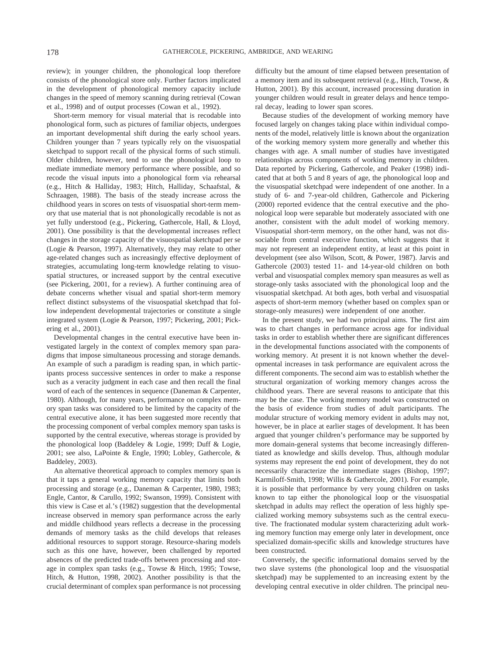review); in younger children, the phonological loop therefore consists of the phonological store only. Further factors implicated in the development of phonological memory capacity include changes in the speed of memory scanning during retrieval (Cowan et al., 1998) and of output processes (Cowan et al., 1992).

Short-term memory for visual material that is recodable into phonological form, such as pictures of familiar objects, undergoes an important developmental shift during the early school years. Children younger than 7 years typically rely on the visuospatial sketchpad to support recall of the physical forms of such stimuli. Older children, however, tend to use the phonological loop to mediate immediate memory performance where possible, and so recode the visual inputs into a phonological form via rehearsal (e.g., Hitch & Halliday, 1983; Hitch, Halliday, Schaafstal, & Schraagen, 1988). The basis of the steady increase across the childhood years in scores on tests of visuospatial short-term memory that use material that is not phonologically recodable is not as yet fully understood (e.g., Pickering, Gathercole, Hall, & Lloyd, 2001). One possibility is that the developmental increases reflect changes in the storage capacity of the visuospatial sketchpad per se (Logie & Pearson, 1997). Alternatively, they may relate to other age-related changes such as increasingly effective deployment of strategies, accumulating long-term knowledge relating to visuospatial structures, or increased support by the central executive (see Pickering, 2001, for a review). A further continuing area of debate concerns whether visual and spatial short-term memory reflect distinct subsystems of the visuospatial sketchpad that follow independent developmental trajectories or constitute a single integrated system (Logie & Pearson, 1997; Pickering, 2001; Pickering et al., 2001).

Developmental changes in the central executive have been investigated largely in the context of complex memory span paradigms that impose simultaneous processing and storage demands. An example of such a paradigm is reading span, in which participants process successive sentences in order to make a response such as a veracity judgment in each case and then recall the final word of each of the sentences in sequence (Daneman & Carpenter, 1980). Although, for many years, performance on complex memory span tasks was considered to be limited by the capacity of the central executive alone, it has been suggested more recently that the processing component of verbal complex memory span tasks is supported by the central executive, whereas storage is provided by the phonological loop (Baddeley & Logie, 1999; Duff & Logie, 2001; see also, LaPointe & Engle, 1990; Lobley, Gathercole, & Baddeley, 2003).

An alternative theoretical approach to complex memory span is that it taps a general working memory capacity that limits both processing and storage (e.g., Daneman & Carpenter, 1980, 1983; Engle, Cantor, & Carullo, 1992; Swanson, 1999). Consistent with this view is Case et al.'s (1982) suggestion that the developmental increase observed in memory span performance across the early and middle childhood years reflects a decrease in the processing demands of memory tasks as the child develops that releases additional resources to support storage. Resource-sharing models such as this one have, however, been challenged by reported absences of the predicted trade-offs between processing and storage in complex span tasks (e.g., Towse & Hitch, 1995; Towse, Hitch, & Hutton, 1998, 2002). Another possibility is that the crucial determinant of complex span performance is not processing

difficulty but the amount of time elapsed between presentation of a memory item and its subsequent retrieval (e.g., Hitch, Towse, & Hutton, 2001). By this account, increased processing duration in younger children would result in greater delays and hence temporal decay, leading to lower span scores.

Because studies of the development of working memory have focused largely on changes taking place within individual components of the model, relatively little is known about the organization of the working memory system more generally and whether this changes with age. A small number of studies have investigated relationships across components of working memory in children. Data reported by Pickering, Gathercole, and Peaker (1998) indicated that at both 5 and 8 years of age, the phonological loop and the visuospatial sketchpad were independent of one another. In a study of 6- and 7-year-old children, Gathercole and Pickering (2000) reported evidence that the central executive and the phonological loop were separable but moderately associated with one another, consistent with the adult model of working memory. Visuospatial short-term memory, on the other hand, was not dissociable from central executive function, which suggests that it may not represent an independent entity, at least at this point in development (see also Wilson, Scott, & Power, 1987). Jarvis and Gathercole (2003) tested 11- and 14-year-old children on both verbal and visuospatial complex memory span measures as well as storage-only tasks associated with the phonological loop and the visuospatial sketchpad. At both ages, both verbal and visuospatial aspects of short-term memory (whether based on complex span or storage-only measures) were independent of one another.

In the present study, we had two principal aims. The first aim was to chart changes in performance across age for individual tasks in order to establish whether there are significant differences in the developmental functions associated with the components of working memory. At present it is not known whether the developmental increases in task performance are equivalent across the different components. The second aim was to establish whether the structural organization of working memory changes across the childhood years. There are several reasons to anticipate that this may be the case. The working memory model was constructed on the basis of evidence from studies of adult participants. The modular structure of working memory evident in adults may not, however, be in place at earlier stages of development. It has been argued that younger children's performance may be supported by more domain-general systems that become increasingly differentiated as knowledge and skills develop. Thus, although modular systems may represent the end point of development, they do not necessarily characterize the intermediate stages (Bishop, 1997; Karmiloff-Smith, 1998; Willis & Gathercole, 2001). For example, it is possible that performance by very young children on tasks known to tap either the phonological loop or the visuospatial sketchpad in adults may reflect the operation of less highly specialized working memory subsystems such as the central executive. The fractionated modular system characterizing adult working memory function may emerge only later in development, once specialized domain-specific skills and knowledge structures have been constructed.

Conversely, the specific informational domains served by the two slave systems (the phonological loop and the visuospatial sketchpad) may be supplemented to an increasing extent by the developing central executive in older children. The principal neu-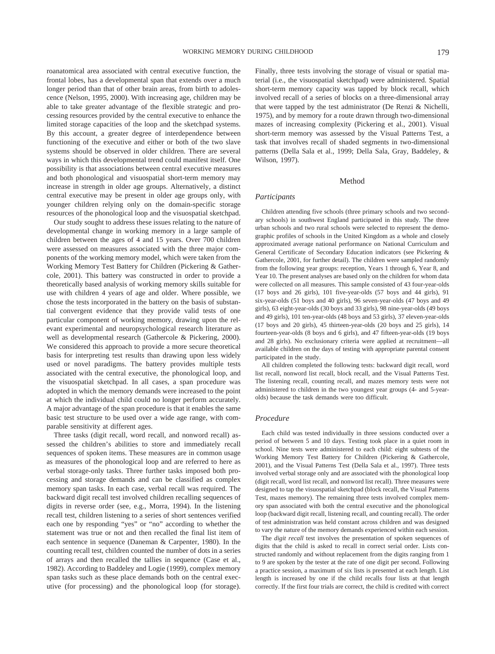roanatomical area associated with central executive function, the frontal lobes, has a developmental span that extends over a much longer period than that of other brain areas, from birth to adolescence (Nelson, 1995, 2000). With increasing age, children may be able to take greater advantage of the flexible strategic and processing resources provided by the central executive to enhance the limited storage capacities of the loop and the sketchpad systems. By this account, a greater degree of interdependence between functioning of the executive and either or both of the two slave systems should be observed in older children. There are several ways in which this developmental trend could manifest itself. One possibility is that associations between central executive measures and both phonological and visuospatial short-term memory may increase in strength in older age groups. Alternatively, a distinct central executive may be present in older age groups only, with younger children relying only on the domain-specific storage resources of the phonological loop and the visuospatial sketchpad.

Our study sought to address these issues relating to the nature of developmental change in working memory in a large sample of children between the ages of 4 and 15 years. Over 700 children were assessed on measures associated with the three major components of the working memory model, which were taken from the Working Memory Test Battery for Children (Pickering & Gathercole, 2001). This battery was constructed in order to provide a theoretically based analysis of working memory skills suitable for use with children 4 years of age and older. Where possible, we chose the tests incorporated in the battery on the basis of substantial convergent evidence that they provide valid tests of one particular component of working memory, drawing upon the relevant experimental and neuropsychological research literature as well as developmental research (Gathercole & Pickering, 2000). We considered this approach to provide a more secure theoretical basis for interpreting test results than drawing upon less widely used or novel paradigms. The battery provides multiple tests associated with the central executive, the phonological loop, and the visuospatial sketchpad. In all cases, a span procedure was adopted in which the memory demands were increased to the point at which the individual child could no longer perform accurately. A major advantage of the span procedure is that it enables the same basic test structure to be used over a wide age range, with comparable sensitivity at different ages.

Three tasks (digit recall, word recall, and nonword recall) assessed the children's abilities to store and immediately recall sequences of spoken items. These measures are in common usage as measures of the phonological loop and are referred to here as verbal storage-only tasks. Three further tasks imposed both processing and storage demands and can be classified as complex memory span tasks. In each case, verbal recall was required. The backward digit recall test involved children recalling sequences of digits in reverse order (see, e.g., Morra, 1994). In the listening recall test, children listening to a series of short sentences verified each one by responding "yes" or "no" according to whether the statement was true or not and then recalled the final list item of each sentence in sequence (Daneman & Carpenter, 1980). In the counting recall test, children counted the number of dots in a series of arrays and then recalled the tallies in sequence (Case et al., 1982). According to Baddeley and Logie (1999), complex memory span tasks such as these place demands both on the central executive (for processing) and the phonological loop (for storage).

Finally, three tests involving the storage of visual or spatial material (i.e., the visuospatial sketchpad) were administered. Spatial short-term memory capacity was tapped by block recall, which involved recall of a series of blocks on a three-dimensional array that were tapped by the test administrator (De Renzi & Nichelli, 1975), and by memory for a route drawn through two-dimensional mazes of increasing complexity (Pickering et al., 2001). Visual short-term memory was assessed by the Visual Patterns Test, a task that involves recall of shaded segments in two-dimensional patterns (Della Sala et al., 1999; Della Sala, Gray, Baddeley, & Wilson, 1997).

### Method

## *Participants*

Children attending five schools (three primary schools and two secondary schools) in southwest England participated in this study. The three urban schools and two rural schools were selected to represent the demographic profiles of schools in the United Kingdom as a whole and closely approximated average national performance on National Curriculum and General Certificate of Secondary Education indicators (see Pickering & Gathercole, 2001, for further detail). The children were sampled randomly from the following year groups: reception, Years 1 through 6, Year 8, and Year 10. The present analyses are based only on the children for whom data were collected on all measures. This sample consisted of 43 four-year-olds (17 boys and 26 girls), 101 five-year-olds (57 boys and 44 girls), 91 six-year-olds (51 boys and 40 girls), 96 seven-year-olds (47 boys and 49 girls), 63 eight-year-olds (30 boys and 33 girls), 98 nine-year-olds (49 boys and 49 girls), 101 ten-year-olds (48 boys and 53 girls), 37 eleven-year-olds (17 boys and 20 girls), 45 thirteen-year-olds (20 boys and 25 girls), 14 fourteen-year-olds (8 boys and 6 girls), and 47 fifteen-year-olds (19 boys and 28 girls). No exclusionary criteria were applied at recruitment—all available children on the days of testing with appropriate parental consent participated in the study.

All children completed the following tests: backward digit recall, word list recall, nonword list recall, block recall, and the Visual Patterns Test. The listening recall, counting recall, and mazes memory tests were not administered to children in the two youngest year groups (4- and 5-yearolds) because the task demands were too difficult.

#### *Procedure*

Each child was tested individually in three sessions conducted over a period of between 5 and 10 days. Testing took place in a quiet room in school. Nine tests were administered to each child: eight subtests of the Working Memory Test Battery for Children (Pickering & Gathercole, 2001), and the Visual Patterns Test (Della Sala et al., 1997). Three tests involved verbal storage only and are associated with the phonological loop (digit recall, word list recall, and nonword list recall). Three measures were designed to tap the visuospatial sketchpad (block recall, the Visual Patterns Test, mazes memory). The remaining three tests involved complex memory span associated with both the central executive and the phonological loop (backward digit recall, listening recall, and counting recall). The order of test administration was held constant across children and was designed to vary the nature of the memory demands experienced within each session.

The *digit recall* test involves the presentation of spoken sequences of digits that the child is asked to recall in correct serial order. Lists constructed randomly and without replacement from the digits ranging from 1 to 9 are spoken by the tester at the rate of one digit per second. Following a practice session, a maximum of six lists is presented at each length. List length is increased by one if the child recalls four lists at that length correctly. If the first four trials are correct, the child is credited with correct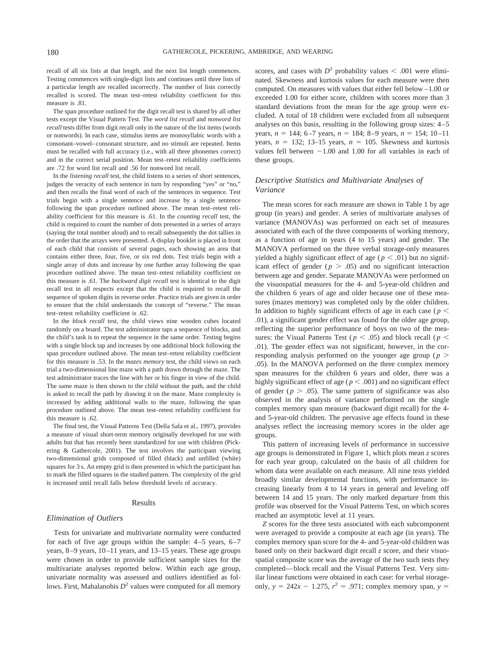recall of all six lists at that length, and the next list length commences. Testing commences with single-digit lists and continues until three lists of a particular length are recalled incorrectly. The number of lists correctly recalled is scored. The mean test–retest reliability coefficient for this measure is .81.

The span procedure outlined for the digit recall test is shared by all other tests except the Visual Pattern Test. The *word list recall* and *nonword list recall* tests differ from digit recall only in the nature of the list items (words or nonwords). In each case, stimulus items are monosyllabic words with a consonant–vowel–consonant structure, and no stimuli are repeated. Items must be recalled with full accuracy (i.e., with all three phonemes correct) and in the correct serial position. Mean test–retest reliability coefficients are .72 for word list recall and .56 for nonword list recall.

In the *listening recall* test, the child listens to a series of short sentences, judges the veracity of each sentence in turn by responding "yes" or "no," and then recalls the final word of each of the sentences in sequence. Test trials begin with a single sentence and increase by a single sentence following the span procedure outlined above. The mean test–retest reliability coefficient for this measure is .61. In the *counting recall* test, the child is required to count the number of dots presented in a series of arrays (saying the total number aloud) and to recall subsequently the dot tallies in the order that the arrays were presented. A display booklet is placed in front of each child that consists of several pages, each showing an area that contains either three, four, five, or six red dots. Test trials begin with a single array of dots and increase by one further array following the span procedure outlined above. The mean test–retest reliability coefficient on this measure is .61. The *backward digit recall* test is identical to the digit recall test in all respects except that the child is required to recall the sequence of spoken digits in reverse order. Practice trials are given in order to ensure that the child understands the concept of "reverse." The mean test–retest reliability coefficient is .62.

In the *block recall* test, the child views nine wooden cubes located randomly on a board. The test administrator taps a sequence of blocks, and the child's task is to repeat the sequence in the same order. Testing begins with a single block tap and increases by one additional block following the span procedure outlined above. The mean test–retest reliability coefficient for this measure is .53. In the *mazes memory* test, the child views on each trial a two-dimensional line maze with a path drawn through the maze. The test administrator traces the line with her or his finger in view of the child. The same maze is then shown to the child without the path, and the child is asked to recall the path by drawing it on the maze. Maze complexity is increased by adding additional walls to the maze, following the span procedure outlined above. The mean test–retest reliability coefficient for this measure is .62.

The final test, the Visual Patterns Test (Della Sala et al., 1997), provides a measure of visual short-term memory originally developed for use with adults but that has recently been standardized for use with children (Pickering & Gathercole, 2001). The test involves the participant viewing two-dimensional grids composed of filled (black) and unfilled (white) squares for 3 s. An empty grid is then presented in which the participant has to mark the filled squares in the studied pattern. The complexity of the grid is increased until recall falls below threshold levels of accuracy.

#### Results

#### *Elimination of Outliers*

Tests for univariate and multivariate normality were conducted for each of five age groups within the sample: 4–5 years, 6–7 years, 8–9 years, 10–11 years, and 13–15 years. These age groups were chosen in order to provide sufficient sample sizes for the multivariate analyses reported below. Within each age group, univariate normality was assessed and outliers identified as follows. First, Mahalanobis  $D^2$  values were computed for all memory scores, and cases with  $D^2$  probability values  $\leq .001$  were eliminated. Skewness and kurtosis values for each measure were then computed. On measures with values that either fell below –1.00 or exceeded 1.00 for either score, children with scores more than 3 standard deviations from the mean for the age group were excluded. A total of 18 children were excluded from all subsequent analyses on this basis, resulting in the following group sizes: 4–5 years,  $n = 144$ ; 6–7 years,  $n = 184$ ; 8–9 years,  $n = 154$ ; 10–11 years,  $n = 132$ ; 13–15 years,  $n = 105$ . Skewness and kurtosis values fell between  $-1.00$  and 1.00 for all variables in each of these groups.

## *Descriptive Statistics and Multivariate Analyses of Variance*

The mean scores for each measure are shown in Table 1 by age group (in years) and gender. A series of multivariate analyses of variance (MANOVAs) was performed on each set of measures associated with each of the three components of working memory, as a function of age in years (4 to 15 years) and gender. The MANOVA performed on the three verbal storage-only measures yielded a highly significant effect of age ( $p < .01$ ) but no significant effect of gender ( $p > .05$ ) and no significant interaction between age and gender. Separate MANOVAs were performed on the visuospatial measures for the 4- and 5-year-old children and the children 6 years of age and older because one of these measures (mazes memory) was completed only by the older children. In addition to highly significant effects of age in each case ( $p <$ *.*01), a significant gender effect was found for the older age group, reflecting the superior performance of boys on two of the measures: the Visual Patterns Test ( $p < .05$ ) and block recall ( $p < .05$ ) *.*01). The gender effect was not significant, however, in the corresponding analysis performed on the younger age group ( $p >$ *.*05). In the MANOVA performed on the three complex memory span measures for the children 6 years and older, there was a highly significant effect of age ( $p < .001$ ) and no significant effect of gender ( $p > .05$ ). The same pattern of significance was also observed in the analysis of variance performed on the single complex memory span measure (backward digit recall) for the 4 and 5-year-old children. The pervasive age effects found in these analyses reflect the increasing memory scores in the older age groups.

This pattern of increasing levels of performance in successive age groups is demonstrated in Figure 1, which plots mean *z* scores for each year group, calculated on the basis of all children for whom data were available on each measure. All nine tests yielded broadly similar developmental functions, with performance increasing linearly from 4 to 14 years in general and leveling off between 14 and 15 years. The only marked departure from this profile was observed for the Visual Patterns Test, on which scores reached an asymptotic level at 11 years.

*Z* scores for the three tests associated with each subcomponent were averaged to provide a composite at each age (in years). The complex memory span score for the 4- and 5-year-old children was based only on their backward digit recall *z* score, and their visuospatial composite score was the average of the two such tests they completed—block recall and the Visual Patterns Test. Very similar linear functions were obtained in each case: for verbal storageonly,  $y = 242x - 1.275$ ,  $r^2 = .971$ ; complex memory span,  $y =$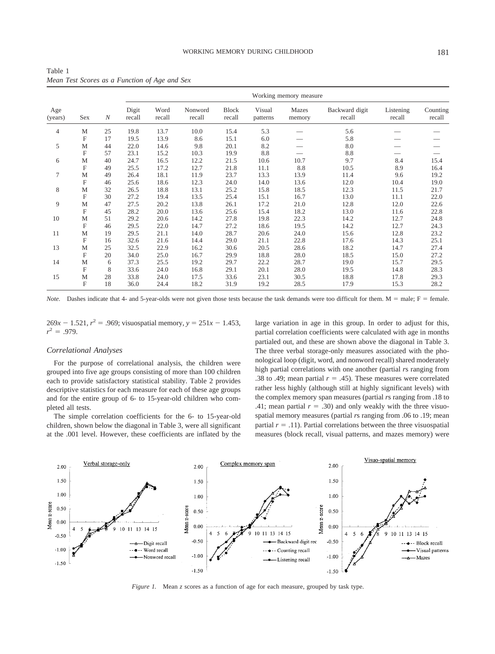| Table 1 |  |  |                                               |  |  |
|---------|--|--|-----------------------------------------------|--|--|
|         |  |  | Mean Test Scores as a Function of Age and Sex |  |  |

|                |              |                  |                 |                |                   |                        |                    | Working memory measure   |                          |                     |                    |
|----------------|--------------|------------------|-----------------|----------------|-------------------|------------------------|--------------------|--------------------------|--------------------------|---------------------|--------------------|
| Age<br>(years) | <b>Sex</b>   | $\boldsymbol{N}$ | Digit<br>recall | Word<br>recall | Nonword<br>recall | <b>Block</b><br>recall | Visual<br>patterns | Mazes<br>memory          | Backward digit<br>recall | Listening<br>recall | Counting<br>recall |
| 4              | M            | 25               | 19.8            | 13.7           | 10.0              | 15.4                   | 5.3                |                          | 5.6                      |                     |                    |
|                | F            | 17               | 19.5            | 13.9           | 8.6               | 15.1                   | 6.0                |                          | 5.8                      |                     |                    |
| 5              | M            | 44               | 22.0            | 14.6           | 9.8               | 20.1                   | 8.2                |                          | 8.0                      |                     |                    |
|                | F            | 57               | 23.1            | 15.2           | 10.3              | 19.9                   | 8.8                | $\overline{\phantom{0}}$ | 8.8                      |                     |                    |
| 6              | M            | 40               | 24.7            | 16.5           | 12.2              | 21.5                   | 10.6               | 10.7                     | 9.7                      | 8.4                 | 15.4               |
|                | F            | 49               | 25.5            | 17.2           | 12.7              | 21.8                   | 11.1               | 8.8                      | 10.5                     | 8.9                 | 16.4               |
| 7              | M            | 49               | 26.4            | 18.1           | 11.9              | 23.7                   | 13.3               | 13.9                     | 11.4                     | 9.6                 | 19.2               |
|                | F            | 46               | 25.6            | 18.6           | 12.3              | 24.0                   | 14.0               | 13.6                     | 12.0                     | 10.4                | 19.0               |
| 8              | M            | 32               | 26.5            | 18.8           | 13.1              | 25.2                   | 15.8               | 18.5                     | 12.3                     | 11.5                | 21.7               |
|                | F            | 30               | 27.2            | 19.4           | 13.5              | 25.4                   | 15.1               | 16.7                     | 13.0                     | 11.1                | 22.0               |
| 9              | M            | 47               | 27.5            | 20.2           | 13.8              | 26.1                   | 17.2               | 21.0                     | 12.8                     | 12.0                | 22.6               |
|                | $\mathbf F$  | 45               | 28.2            | 20.0           | 13.6              | 25.6                   | 15.4               | 18.2                     | 13.0                     | 11.6                | 22.8               |
| 10             | M            | 51               | 29.2            | 20.6           | 14.2              | 27.8                   | 19.8               | 22.3                     | 14.2                     | 12.7                | 24.8               |
|                | F            | 46               | 29.5            | 22.0           | 14.7              | 27.2                   | 18.6               | 19.5                     | 14.2                     | 12.7                | 24.3               |
| 11             | M            | 19               | 29.5            | 21.1           | 14.0              | 28.7                   | 20.6               | 24.0                     | 15.6                     | 12.8                | 23.2               |
|                | F            | 16               | 32.6            | 21.6           | 14.4              | 29.0                   | 21.1               | 22.8                     | 17.6                     | 14.3                | 25.1               |
| 13             | M            | 25               | 32.5            | 22.9           | 16.2              | 30.6                   | 20.5               | 28.6                     | 18.2                     | 14.7                | 27.4               |
|                | F            | 20               | 34.0            | 25.0           | 16.7              | 29.9                   | 18.8               | 28.0                     | 18.5                     | 15.0                | 27.2               |
| 14             | M            | 6                | 37.3            | 25.5           | 19.2              | 29.7                   | 22.2               | 28.7                     | 19.0                     | 15.7                | 29.5               |
|                | F            | 8                | 33.6            | 24.0           | 16.8              | 29.1                   | 20.1               | 28.0                     | 19.5                     | 14.8                | 28.3               |
| 15             | M            | 28               | 33.8            | 24.0           | 17.5              | 33.6                   | 23.1               | 30.5                     | 18.8                     | 17.8                | 29.3               |
|                | $\mathbf{F}$ | 18               | 36.0            | 24.4           | 18.2              | 31.9                   | 19.2               | 28.5                     | 17.9                     | 15.3                | 28.2               |

*Note.* Dashes indicate that 4- and 5-year-olds were not given those tests because the task demands were too difficult for them.  $M =$  male;  $F =$  female.

 $269x - 1.521$ ,  $r^2 = .969$ ; visuospatial memory,  $y = 251x - 1.453$ ,  $r^2 = .979$ .

#### *Correlational Analyses*

For the purpose of correlational analysis, the children were grouped into five age groups consisting of more than 100 children each to provide satisfactory statistical stability. Table 2 provides descriptive statistics for each measure for each of these age groups and for the entire group of 6- to 15-year-old children who completed all tests.

The simple correlation coefficients for the 6- to 15-year-old children, shown below the diagonal in Table 3, were all significant at the .001 level. However, these coefficients are inflated by the large variation in age in this group. In order to adjust for this, partial correlation coefficients were calculated with age in months partialed out, and these are shown above the diagonal in Table 3. The three verbal storage-only measures associated with the phonological loop (digit, word, and nonword recall) shared moderately high partial correlations with one another (partial *r*s ranging from .38 to .49; mean partial  $r = .45$ ). These measures were correlated rather less highly (although still at highly significant levels) with the complex memory span measures (partial *r*s ranging from .18 to .41; mean partial  $r = .30$ ) and only weakly with the three visuospatial memory measures (partial *r*s ranging from .06 to .19; mean partial  $r = .11$ ). Partial correlations between the three visuospatial measures (block recall, visual patterns, and mazes memory) were



*Figure 1.* Mean *z* scores as a function of age for each measure, grouped by task type.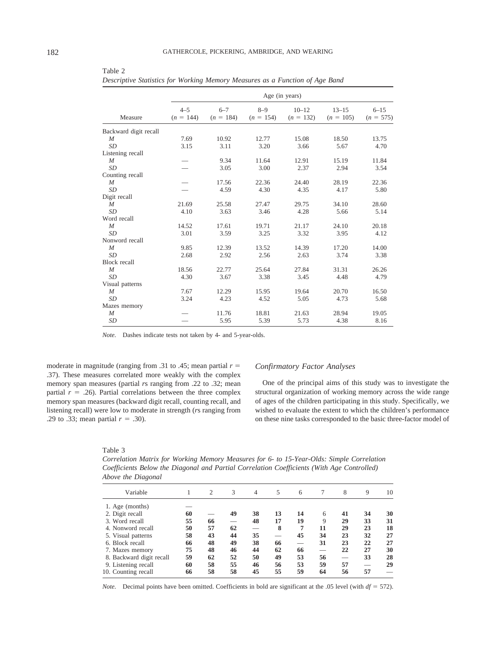|                       |                        |                        |                        | Age (in years)           |                          |                         |
|-----------------------|------------------------|------------------------|------------------------|--------------------------|--------------------------|-------------------------|
| Measure               | $4 - 5$<br>$(n = 144)$ | $6 - 7$<br>$(n = 184)$ | $8 - 9$<br>$(n = 154)$ | $10 - 12$<br>$(n = 132)$ | $13 - 15$<br>$(n = 105)$ | $6 - 15$<br>$(n = 575)$ |
| Backward digit recall |                        |                        |                        |                          |                          |                         |
| M                     | 7.69                   | 10.92                  | 12.77                  | 15.08                    | 18.50                    | 13.75                   |
| <b>SD</b>             | 3.15                   | 3.11                   | 3.20                   | 3.66                     | 5.67                     | 4.70                    |
| Listening recall      |                        |                        |                        |                          |                          |                         |
| $\boldsymbol{M}$      |                        | 9.34                   | 11.64                  | 12.91                    | 15.19                    | 11.84                   |
| <b>SD</b>             |                        | 3.05                   | 3.00                   | 2.37                     | 2.94                     | 3.54                    |
| Counting recall       |                        |                        |                        |                          |                          |                         |
| M                     |                        | 17.56                  | 22.36                  | 24.40                    | 28.19                    | 22.36                   |
| SD                    |                        | 4.59                   | 4.30                   | 4.35                     | 4.17                     | 5.80                    |
| Digit recall          |                        |                        |                        |                          |                          |                         |
| $\boldsymbol{M}$      | 21.69                  | 25.58                  | 27.47                  | 29.75                    | 34.10                    | 28.60                   |
| SD.                   | 4.10                   | 3.63                   | 3.46                   | 4.28                     | 5.66                     | 5.14                    |
| Word recall           |                        |                        |                        |                          |                          |                         |
| $\boldsymbol{M}$      | 14.52                  | 17.61                  | 19.71                  | 21.17                    | 24.10                    | 20.18                   |
| SD.                   | 3.01                   | 3.59                   | 3.25                   | 3.32                     | 3.95                     | 4.12                    |
| Nonword recall        |                        |                        |                        |                          |                          |                         |
| $\boldsymbol{M}$      | 9.85                   | 12.39                  | 13.52                  | 14.39                    | 17.20                    | 14.00                   |
| SD.                   | 2.68                   | 2.92                   | 2.56                   | 2.63                     | 3.74                     | 3.38                    |
| <b>Block</b> recall   |                        |                        |                        |                          |                          |                         |
| $\boldsymbol{M}$      | 18.56                  | 22.77                  | 25.64                  | 27.84                    | 31.31                    | 26.26                   |
| SD                    | 4.30                   | 3.67                   | 3.38                   | 3.45                     | 4.48                     | 4.79                    |
| Visual patterns       |                        |                        |                        |                          |                          |                         |
| $\boldsymbol{M}$      | 7.67                   | 12.29                  | 15.95                  | 19.64                    | 20.70                    | 16.50                   |
| <b>SD</b>             | 3.24                   | 4.23                   | 4.52                   | 5.05                     | 4.73                     | 5.68                    |
| Mazes memory          |                        |                        |                        |                          |                          |                         |
| $\boldsymbol{M}$      |                        | 11.76                  | 18.81                  | 21.63                    | 28.94                    | 19.05                   |
| <b>SD</b>             |                        | 5.95                   | 5.39                   | 5.73                     | 4.38                     | 8.16                    |

Table 2 *Descriptive Statistics for Working Memory Measures as a Function of Age Band*

*Note.* Dashes indicate tests not taken by 4- and 5-year-olds.

moderate in magnitude (ranging from .31 to .45; mean partial  $r =$ .37). These measures correlated more weakly with the complex memory span measures (partial *r*s ranging from .22 to .32; mean partial  $r = .26$ ). Partial correlations between the three complex memory span measures (backward digit recall, counting recall, and listening recall) were low to moderate in strength (*r*s ranging from .29 to .33; mean partial  $r = .30$ ).

## *Confirmatory Factor Analyses*

One of the principal aims of this study was to investigate the structural organization of working memory across the wide range of ages of the children participating in this study. Specifically, we wished to evaluate the extent to which the children's performance on these nine tasks corresponded to the basic three-factor model of

Table 3

*Correlation Matrix for Working Memory Measures for 6- to 15-Year-Olds: Simple Correlation Coefficients Below the Diagonal and Partial Correlation Coefficients (With Age Controlled) Above the Diagonal*

| $\tilde{}$               |    |    |    |    |    |    |    |    |    |    |
|--------------------------|----|----|----|----|----|----|----|----|----|----|
| Variable                 |    | 2  | 3  | 4  | 5  | 6  | 7  | 8  | 9  | 10 |
| 1. Age (months)          |    |    |    |    |    |    |    |    |    |    |
| 2. Digit recall          | 60 |    | 49 | 38 | 13 | 14 | 6  | 41 | 34 | 30 |
| 3. Word recall           | 55 | 66 |    | 48 | 17 | 19 | 9  | 29 | 33 | 31 |
| 4. Nonword recall        | 50 | 57 | 62 |    | 8  | 7  | 11 | 29 | 23 | 18 |
| 5. Visual patterns       | 58 | 43 | 44 | 35 |    | 45 | 34 | 23 | 32 | 27 |
| 6. Block recall          | 66 | 48 | 49 | 38 | 66 |    | 31 | 23 | 22 | 27 |
| 7. Mazes memory          | 75 | 48 | 46 | 44 | 62 | 66 |    | 22 | 27 | 30 |
| 8. Backward digit recall | 59 | 62 | 52 | 50 | 49 | 53 | 56 |    | 33 | 28 |
| 9. Listening recall      | 60 | 58 | 55 | 46 | 56 | 53 | 59 | 57 |    | 29 |
| 10. Counting recall      | 66 | 58 | 58 | 45 | 55 | 59 | 64 | 56 | 57 |    |

*Note.* Decimal points have been omitted. Coefficients in bold are significant at the .05 level (with  $df = 572$ ).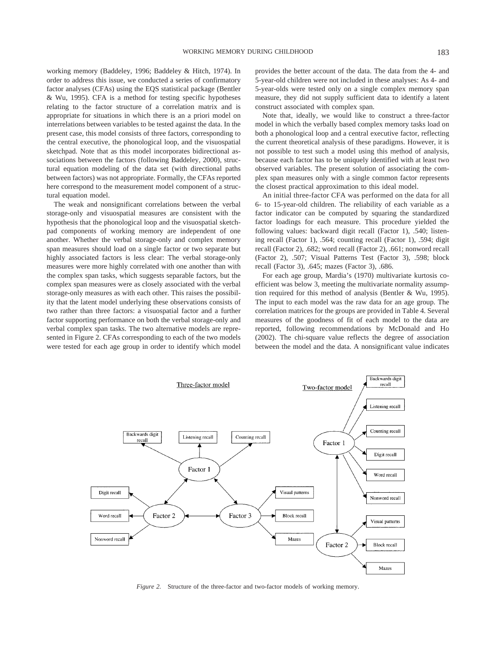working memory (Baddeley, 1996; Baddeley & Hitch, 1974). In order to address this issue, we conducted a series of confirmatory factor analyses (CFAs) using the EQS statistical package (Bentler & Wu, 1995). CFA is a method for testing specific hypotheses relating to the factor structure of a correlation matrix and is appropriate for situations in which there is an a priori model on interrelations between variables to be tested against the data. In the present case, this model consists of three factors, corresponding to the central executive, the phonological loop, and the visuospatial sketchpad. Note that as this model incorporates bidirectional associations between the factors (following Baddeley, 2000), structural equation modeling of the data set (with directional paths between factors) was not appropriate. Formally, the CFAs reported here correspond to the measurement model component of a structural equation model.

The weak and nonsignificant correlations between the verbal storage-only and visuospatial measures are consistent with the hypothesis that the phonological loop and the visuospatial sketchpad components of working memory are independent of one another. Whether the verbal storage-only and complex memory span measures should load on a single factor or two separate but highly associated factors is less clear: The verbal storage-only measures were more highly correlated with one another than with the complex span tasks, which suggests separable factors, but the complex span measures were as closely associated with the verbal storage-only measures as with each other. This raises the possibility that the latent model underlying these observations consists of two rather than three factors: a visuospatial factor and a further factor supporting performance on both the verbal storage-only and verbal complex span tasks. The two alternative models are represented in Figure 2. CFAs corresponding to each of the two models were tested for each age group in order to identify which model provides the better account of the data. The data from the 4- and 5-year-old children were not included in these analyses: As 4- and 5-year-olds were tested only on a single complex memory span measure, they did not supply sufficient data to identify a latent construct associated with complex span.

Note that, ideally, we would like to construct a three-factor model in which the verbally based complex memory tasks load on both a phonological loop and a central executive factor, reflecting the current theoretical analysis of these paradigms. However, it is not possible to test such a model using this method of analysis, because each factor has to be uniquely identified with at least two observed variables. The present solution of associating the complex span measures only with a single common factor represents the closest practical approximation to this ideal model.

An initial three-factor CFA was performed on the data for all 6- to 15-year-old children. The reliability of each variable as a factor indicator can be computed by squaring the standardized factor loadings for each measure. This procedure yielded the following values: backward digit recall (Factor 1), .540; listening recall (Factor 1), .564; counting recall (Factor 1), .594; digit recall (Factor 2), .682; word recall (Factor 2), .661; nonword recall (Factor 2), .507; Visual Patterns Test (Factor 3), .598; block recall (Factor 3), .645; mazes (Factor 3), .686.

For each age group, Mardia's (1970) multivariate kurtosis coefficient was below 3, meeting the multivariate normality assumption required for this method of analysis (Bentler & Wu, 1995). The input to each model was the raw data for an age group. The correlation matrices for the groups are provided in Table 4. Several measures of the goodness of fit of each model to the data are reported, following recommendations by McDonald and Ho (2002). The chi-square value reflects the degree of association between the model and the data. A nonsignificant value indicates



*Figure 2.* Structure of the three-factor and two-factor models of working memory.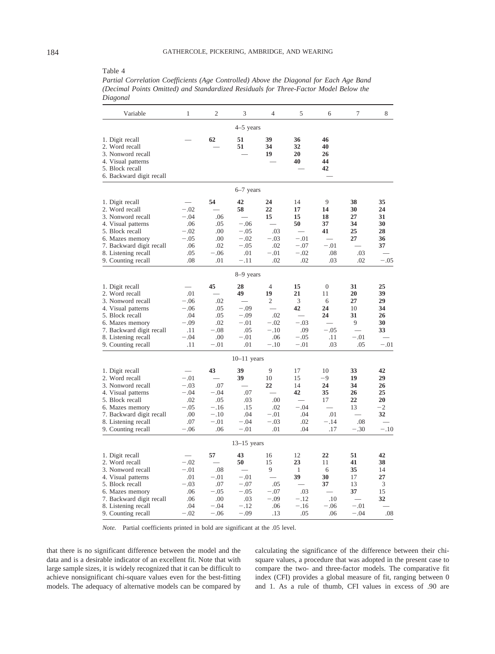## Table 4

*Partial Correlation Coefficients (Age Controlled) Above the Diagonal for Each Age Band (Decimal Points Omitted) and Standardized Residuals for Three-Factor Model Below the Diagonal*

| Variable                                                                                                                                                                                    | 1                                                                 | 2                                                               | 3                                                                 | 4                                                                                  | 5                                                         | 6                                                           | 7                                                    | 8                                                  |
|---------------------------------------------------------------------------------------------------------------------------------------------------------------------------------------------|-------------------------------------------------------------------|-----------------------------------------------------------------|-------------------------------------------------------------------|------------------------------------------------------------------------------------|-----------------------------------------------------------|-------------------------------------------------------------|------------------------------------------------------|----------------------------------------------------|
|                                                                                                                                                                                             |                                                                   |                                                                 | 4-5 years                                                         |                                                                                    |                                                           |                                                             |                                                      |                                                    |
| 1. Digit recall<br>2. Word recall<br>3. Nonword recall<br>4. Visual patterns<br>5. Block recall<br>6. Backward digit recall                                                                 |                                                                   | 62                                                              | 51<br>51                                                          | 39<br>34<br>19                                                                     | 36<br>32<br>20<br>40                                      | 46<br>40<br>26<br>44<br>42                                  |                                                      |                                                    |
|                                                                                                                                                                                             |                                                                   |                                                                 | 6-7 years                                                         |                                                                                    |                                                           |                                                             |                                                      |                                                    |
| 1. Digit recall<br>2. Word recall<br>3. Nonword recall<br>4. Visual patterns<br>5. Block recall<br>6. Mazes memory<br>7. Backward digit recall<br>8. Listening recall<br>9. Counting recall | $-.02$<br>$-.04$<br>.06<br>$-.02$<br>$-.05$<br>.06<br>.05<br>.08  | 54<br>.06<br>.05<br>.00<br>.00<br>.02<br>$-.06$<br>.01          | 42<br>58<br>$-.06$<br>$-.05$<br>$-.02$<br>$-.05$<br>.01<br>$-.11$ | 24<br>22<br>15<br>.03<br>$-.03$<br>.02<br>$-.01$<br>.02                            | 14<br>17<br>15<br>50<br>$-.01$<br>$-.07$<br>$-.02$<br>.02 | 9<br>14<br>18<br>37<br>41<br>$-.01$<br>.08<br>.03           | 38<br>30<br>27<br>34<br>25<br>27<br>.03<br>.02       | 35<br>24<br>31<br>30<br>28<br>36<br>37<br>$-.05$   |
|                                                                                                                                                                                             |                                                                   |                                                                 | 8-9 years                                                         |                                                                                    |                                                           |                                                             |                                                      |                                                    |
| 1. Digit recall<br>2. Word recall<br>3. Nonword recall<br>4. Visual patterns<br>5. Block recall<br>6. Mazes memory<br>7. Backward digit recall<br>8. Listening recall<br>9. Counting recall | .01<br>$-.06$<br>$-.06$<br>.04<br>$-.09$<br>.11<br>$-.04$<br>.11  | 45<br>.02<br>.05<br>.05<br>.02<br>$-.08$<br>.00<br>$-.01$       | 28<br>49<br>$-.09$<br>$-.09$<br>$-.01$<br>.05<br>$-.01$<br>.01    | 4<br>19<br>2<br>.02<br>$-.02$<br>$-.10$<br>.06<br>$-.10$                           | 15<br>21<br>3<br>42<br>$-.03$<br>.09<br>$-.05$<br>$-.01$  | $\mathbf{0}$<br>11<br>6<br>24<br>24<br>$-.05$<br>.11<br>.03 | 31<br>20<br>27<br>10<br>31<br>9<br>$-.01$<br>.05     | 25<br>39<br>29<br>34<br>26<br>30<br>33<br>$-.01$   |
|                                                                                                                                                                                             |                                                                   |                                                                 | $10-11$ years                                                     |                                                                                    |                                                           |                                                             |                                                      |                                                    |
| 1. Digit recall<br>2. Word recall<br>3. Nonword recall<br>4. Visual patterns<br>5. Block recall<br>6. Mazes memory<br>7. Backward digit recall<br>8. Listening recall<br>9. Counting recall | $-.01$<br>$-.03$<br>$-.04$<br>.02<br>- 05<br>.00<br>.07<br>$-.06$ | 43<br>.07<br>$-.04$<br>.05<br>$-.16$<br>$-.10$<br>$-.01$<br>.06 | 39<br>39<br>.07<br>.03<br>.15<br>.04<br>$-.04$<br>$-.01$          | 9<br>10<br>22<br>.00<br>.02<br>$-.01$<br>$-.03$<br>.01                             | 17<br>15<br>14<br>42<br>$-.04$<br>.04<br>.02<br>.04       | 10<br>-9<br>24<br>35<br>17<br>.01<br>$-.14$<br>.17          | 33<br>19<br>34<br>26<br>22<br>13<br>.08<br>$-.30$    | 42<br>29<br>26<br>25<br>20<br>$-2$<br>32<br>$-.10$ |
|                                                                                                                                                                                             |                                                                   |                                                                 | $13-15$ years                                                     |                                                                                    |                                                           |                                                             |                                                      |                                                    |
| 1. Digit recall<br>2. Word recall<br>3. Nonword recall<br>4. Visual patterns<br>5. Block recall<br>6. Mazes memory<br>7. Backward digit recall<br>8. Listening recall<br>9. Counting recall | $-.02$<br>$-.01$<br>.01<br>$-.03$<br>.06<br>.06<br>.04<br>$-.02$  | 57<br>.08<br>$-.01$<br>.07<br>$-.05$<br>.00<br>$-.04$<br>$-.06$ | 43<br>50<br>$-.01$<br>$-.07$<br>$-.05$<br>.03<br>$-.12$<br>$-.09$ | 16<br>15<br>9<br>$\overline{\phantom{a}}$<br>.05<br>$-.07$<br>$-.09$<br>.06<br>.13 | 12<br>23<br>1<br>39<br>.03<br>$-.12$<br>$-.16$<br>.05     | 22<br>11<br>6<br>30<br>37<br>.10<br>$-.06$<br>.06           | 51<br>41<br>35<br>17<br>13<br>37<br>$-.01$<br>$-.04$ | 42<br>38<br>14<br>27<br>3<br>15<br>32<br>.08       |

*Note.* Partial coefficients printed in bold are significant at the .05 level.

that there is no significant difference between the model and the data and is a desirable indicator of an excellent fit. Note that with large sample sizes, it is widely recognized that it can be difficult to achieve nonsignificant chi-square values even for the best-fitting models. The adequacy of alternative models can be compared by calculating the significance of the difference between their chisquare values, a procedure that was adopted in the present case to compare the two- and three-factor models. The comparative fit index (CFI) provides a global measure of fit, ranging between 0 and 1. As a rule of thumb, CFI values in excess of .90 are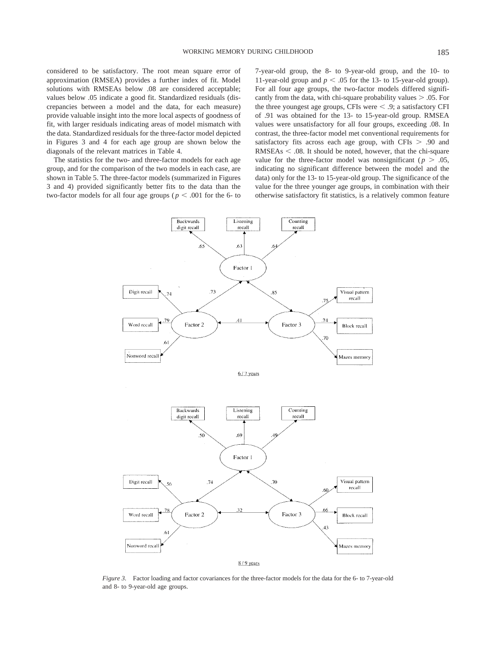considered to be satisfactory. The root mean square error of approximation (RMSEA) provides a further index of fit. Model solutions with RMSEAs below .08 are considered acceptable; values below .05 indicate a good fit. Standardized residuals (discrepancies between a model and the data, for each measure) provide valuable insight into the more local aspects of goodness of fit, with larger residuals indicating areas of model mismatch with the data. Standardized residuals for the three-factor model depicted in Figures 3 and 4 for each age group are shown below the diagonals of the relevant matrices in Table 4.

The statistics for the two- and three-factor models for each age group, and for the comparison of the two models in each case, are shown in Table 5. The three-factor models (summarized in Figures 3 and 4) provided significantly better fits to the data than the two-factor models for all four age groups ( $p < .001$  for the 6- to 7-year-old group, the 8- to 9-year-old group, and the 10- to 11-year-old group and  $p < .05$  for the 13- to 15-year-old group). For all four age groups, the two-factor models differed significantly from the data, with chi-square probability values  $> .05$ . For the three youngest age groups, CFIs were  $\leq$  .9; a satisfactory CFI of .91 was obtained for the 13- to 15-year-old group. RMSEA values were unsatisfactory for all four groups, exceeding .08. In contrast, the three-factor model met conventional requirements for satisfactory fits across each age group, with CFIs  $> .90$  and  $RMSEAs < .08$ . It should be noted, however, that the chi-square value for the three-factor model was nonsignificant ( $p > .05$ , indicating no significant difference between the model and the data) only for the 13- to 15-year-old group. The significance of the value for the three younger age groups, in combination with their otherwise satisfactory fit statistics, is a relatively common feature



*Figure 3.* Factor loading and factor covariances for the three-factor models for the data for the 6- to 7-year-old and 8- to 9-year-old age groups.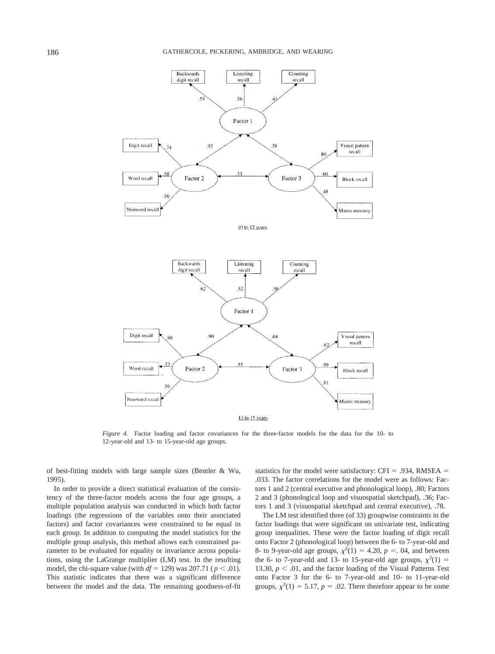

*Figure 4.* Factor loading and factor covariances for the three-factor models for the data for the 10- to 12-year-old and 13- to 15-year-old age groups.

of best-fitting models with large sample sizes (Bentler & Wu, 1995).

In order to provide a direct statistical evaluation of the consistency of the three-factor models across the four age groups, a multiple population analysis was conducted in which both factor loadings (the regressions of the variables onto their associated factors) and factor covariances were constrained to be equal in each group. In addition to computing the model statistics for the multiple group analysis, this method allows each constrained parameter to be evaluated for equality or invariance across populations, using the LaGrange multiplier (LM) test. In the resulting model, the chi-square value (with  $df = 129$ ) was 207.71 ( $p < .01$ ). This statistic indicates that there was a significant difference between the model and the data. The remaining goodness-of-fit

statistics for the model were satisfactory:  $CFI = .934$ , RMSEA = .033. The factor correlations for the model were as follows: Factors 1 and 2 (central executive and phonological loop), .80; Factors 2 and 3 (phonological loop and visuospatial sketchpad), .36; Factors 1 and 3 (visuospatial sketchpad and central executive), .78.

The LM test identified three (of 33) groupwise constraints in the factor loadings that were significant on univariate test, indicating group inequalities. These were the factor loading of digit recall onto Factor 2 (phonological loop) between the 6- to 7-year-old and 8- to 9-year-old age groups,  $\chi^2(1) = 4.20$ ,  $p = 0.04$ , and between the 6- to 7-year-old and 13- to 15-year-old age groups,  $\chi^2(1)$  = 13.30,  $p < 0.01$ , and the factor loading of the Visual Patterns Test onto Factor 3 for the 6- to 7-year-old and 10- to 11-year-old groups,  $\chi^2(1) = 5.17$ ,  $p = .02$ . There therefore appear to be some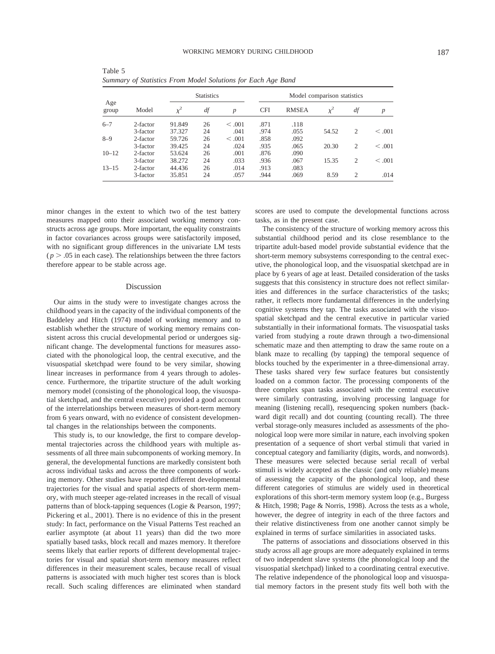|              |          |          | <b>Statistics</b> |         |            |              | Model comparison statistics |                             |                  |
|--------------|----------|----------|-------------------|---------|------------|--------------|-----------------------------|-----------------------------|------------------|
| Age<br>group | Model    | $\chi^2$ | df                | p       | <b>CFI</b> | <b>RMSEA</b> | $\chi^2$                    | df                          | $\boldsymbol{p}$ |
| $6 - 7$      | 2-factor | 91.849   | 26                | < 0.001 | .871       | .118         |                             |                             |                  |
|              | 3-factor | 37.327   | 24                | .041    | .974       | .055         | 54.52                       | $\overline{2}$              | < 0.001          |
| $8 - 9$      | 2-factor | 59.726   | 26                | < 0.001 | .858       | .092         |                             |                             |                  |
|              | 3-factor | 39.425   | 24                | .024    | .935       | .065         | 20.30                       | $\mathcal{L}$               | < 0.001          |
| $10 - 12$    | 2-factor | 53.624   | 26                | .001    | .876       | .090         |                             |                             |                  |
|              | 3-factor | 38.272   | 24                | .033    | .936       | .067         | 15.35                       | $\overline{2}$              | < 0.001          |
| $13 - 15$    | 2-factor | 44.436   | 26                | .014    | .913       | .083         |                             |                             |                  |
|              | 3-factor | 35.851   | 24                | .057    | .944       | .069         | 8.59                        | $\mathcal{D}_{\mathcal{L}}$ | .014             |

Table 5 *Summary of Statistics From Model Solutions for Each Age Band*

minor changes in the extent to which two of the test battery measures mapped onto their associated working memory constructs across age groups. More important, the equality constraints in factor covariances across groups were satisfactorily imposed, with no significant group differences in the univariate LM tests  $(p > .05$  in each case). The relationships between the three factors therefore appear to be stable across age.

## Discussion

Our aims in the study were to investigate changes across the childhood years in the capacity of the individual components of the Baddeley and Hitch (1974) model of working memory and to establish whether the structure of working memory remains consistent across this crucial developmental period or undergoes significant change. The developmental functions for measures associated with the phonological loop, the central executive, and the visuospatial sketchpad were found to be very similar, showing linear increases in performance from 4 years through to adolescence. Furthermore, the tripartite structure of the adult working memory model (consisting of the phonological loop, the visuospatial sketchpad, and the central executive) provided a good account of the interrelationships between measures of short-term memory from 6 years onward, with no evidence of consistent developmental changes in the relationships between the components.

This study is, to our knowledge, the first to compare developmental trajectories across the childhood years with multiple assessments of all three main subcomponents of working memory. In general, the developmental functions are markedly consistent both across individual tasks and across the three components of working memory. Other studies have reported different developmental trajectories for the visual and spatial aspects of short-term memory, with much steeper age-related increases in the recall of visual patterns than of block-tapping sequences (Logie & Pearson, 1997; Pickering et al., 2001). There is no evidence of this in the present study: In fact, performance on the Visual Patterns Test reached an earlier asymptote (at about 11 years) than did the two more spatially based tasks, block recall and mazes memory. It therefore seems likely that earlier reports of different developmental trajectories for visual and spatial short-term memory measures reflect differences in their measurement scales, because recall of visual patterns is associated with much higher test scores than is block recall. Such scaling differences are eliminated when standard scores are used to compute the developmental functions across tasks, as in the present case.

The consistency of the structure of working memory across this substantial childhood period and its close resemblance to the tripartite adult-based model provide substantial evidence that the short-term memory subsystems corresponding to the central executive, the phonological loop, and the visuospatial sketchpad are in place by 6 years of age at least. Detailed consideration of the tasks suggests that this consistency in structure does not reflect similarities and differences in the surface characteristics of the tasks; rather, it reflects more fundamental differences in the underlying cognitive systems they tap. The tasks associated with the visuospatial sketchpad and the central executive in particular varied substantially in their informational formats. The visuospatial tasks varied from studying a route drawn through a two-dimensional schematic maze and then attempting to draw the same route on a blank maze to recalling (by tapping) the temporal sequence of blocks touched by the experimenter in a three-dimensional array. These tasks shared very few surface features but consistently loaded on a common factor. The processing components of the three complex span tasks associated with the central executive were similarly contrasting, involving processing language for meaning (listening recall), resequencing spoken numbers (backward digit recall) and dot counting (counting recall). The three verbal storage-only measures included as assessments of the phonological loop were more similar in nature, each involving spoken presentation of a sequence of short verbal stimuli that varied in conceptual category and familiarity (digits, words, and nonwords). These measures were selected because serial recall of verbal stimuli is widely accepted as the classic (and only reliable) means of assessing the capacity of the phonological loop, and these different categories of stimulus are widely used in theoretical explorations of this short-term memory system loop (e.g., Burgess & Hitch, 1998; Page & Norris, 1998). Across the tests as a whole, however, the degree of integrity in each of the three factors and their relative distinctiveness from one another cannot simply be explained in terms of surface similarities in associated tasks.

The patterns of associations and dissociations observed in this study across all age groups are more adequately explained in terms of two independent slave systems (the phonological loop and the visuospatial sketchpad) linked to a coordinating central executive. The relative independence of the phonological loop and visuospatial memory factors in the present study fits well both with the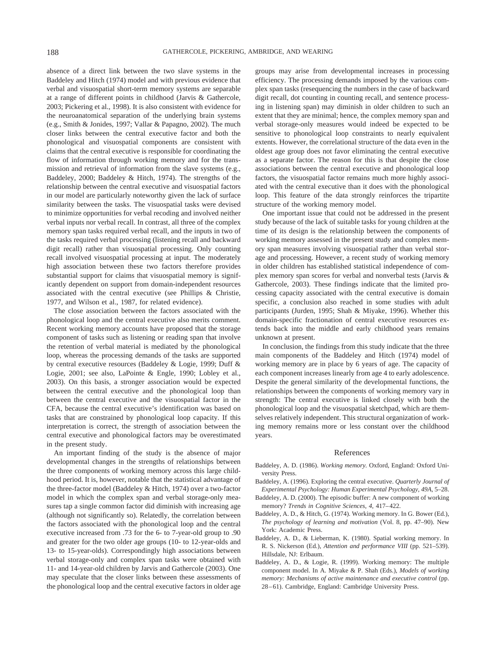absence of a direct link between the two slave systems in the Baddeley and Hitch (1974) model and with previous evidence that verbal and visuospatial short-term memory systems are separable at a range of different points in childhood (Jarvis & Gathercole, 2003; Pickering et al., 1998). It is also consistent with evidence for the neuroanatomical separation of the underlying brain systems (e.g., Smith & Jonides, 1997; Vallar & Papagno, 2002). The much closer links between the central executive factor and both the phonological and visuospatial components are consistent with claims that the central executive is responsible for coordinating the flow of information through working memory and for the transmission and retrieval of information from the slave systems (e.g., Baddeley, 2000; Baddeley & Hitch, 1974). The strengths of the relationship between the central executive and visuospatial factors in our model are particularly noteworthy given the lack of surface similarity between the tasks. The visuospatial tasks were devised to minimize opportunities for verbal recoding and involved neither verbal inputs nor verbal recall. In contrast, all three of the complex memory span tasks required verbal recall, and the inputs in two of the tasks required verbal processing (listening recall and backward digit recall) rather than visuospatial processing. Only counting recall involved visuospatial processing at input. The moderately high association between these two factors therefore provides substantial support for claims that visuospatial memory is significantly dependent on support from domain-independent resources associated with the central executive (see Phillips & Christie, 1977, and Wilson et al., 1987, for related evidence).

The close association between the factors associated with the phonological loop and the central executive also merits comment. Recent working memory accounts have proposed that the storage component of tasks such as listening or reading span that involve the retention of verbal material is mediated by the phonological loop, whereas the processing demands of the tasks are supported by central executive resources (Baddeley & Logie, 1999; Duff & Logie, 2001; see also, LaPointe & Engle, 1990; Lobley et al., 2003). On this basis, a stronger association would be expected between the central executive and the phonological loop than between the central executive and the visuospatial factor in the CFA, because the central executive's identification was based on tasks that are constrained by phonological loop capacity. If this interpretation is correct, the strength of association between the central executive and phonological factors may be overestimated in the present study.

An important finding of the study is the absence of major developmental changes in the strengths of relationships between the three components of working memory across this large childhood period. It is, however, notable that the statistical advantage of the three-factor model (Baddeley & Hitch, 1974) over a two-factor model in which the complex span and verbal storage-only measures tap a single common factor did diminish with increasing age (although not significantly so). Relatedly, the correlation between the factors associated with the phonological loop and the central executive increased from .73 for the 6- to 7-year-old group to .90 and greater for the two older age groups (10- to 12-year-olds and 13- to 15-year-olds). Correspondingly high associations between verbal storage-only and complex span tasks were obtained with 11- and 14-year-old children by Jarvis and Gathercole (2003). One may speculate that the closer links between these assessments of the phonological loop and the central executive factors in older age

groups may arise from developmental increases in processing efficiency. The processing demands imposed by the various complex span tasks (resequencing the numbers in the case of backward digit recall, dot counting in counting recall, and sentence processing in listening span) may diminish in older children to such an extent that they are minimal; hence, the complex memory span and verbal storage-only measures would indeed be expected to be sensitive to phonological loop constraints to nearly equivalent extents. However, the correlational structure of the data even in the oldest age group does not favor eliminating the central executive as a separate factor. The reason for this is that despite the close associations between the central executive and phonological loop factors, the visuospatial factor remains much more highly associated with the central executive than it does with the phonological loop. This feature of the data strongly reinforces the tripartite structure of the working memory model.

One important issue that could not be addressed in the present study because of the lack of suitable tasks for young children at the time of its design is the relationship between the components of working memory assessed in the present study and complex memory span measures involving visuospatial rather than verbal storage and processing. However, a recent study of working memory in older children has established statistical independence of complex memory span scores for verbal and nonverbal tests (Jarvis & Gathercole, 2003). These findings indicate that the limited processing capacity associated with the central executive is domain specific, a conclusion also reached in some studies with adult participants (Jurden, 1995; Shah & Miyake, 1996). Whether this domain-specific fractionation of central executive resources extends back into the middle and early childhood years remains unknown at present.

In conclusion, the findings from this study indicate that the three main components of the Baddeley and Hitch (1974) model of working memory are in place by 6 years of age. The capacity of each component increases linearly from age 4 to early adolescence. Despite the general similarity of the developmental functions, the relationships between the components of working memory vary in strength: The central executive is linked closely with both the phonological loop and the visuospatial sketchpad, which are themselves relatively independent. This structural organization of working memory remains more or less constant over the childhood years.

#### References

- Baddeley, A. D. (1986). *Working memory.* Oxford, England: Oxford University Press.
- Baddeley, A. (1996). Exploring the central executive. *Quarterly Journal of Experimental Psychology: Human Experimental Psychology, 49A,* 5–28.
- Baddeley, A. D. (2000). The episodic buffer: A new component of working memory? *Trends in Cognitive Sciences, 4,* 417–422.
- Baddeley, A. D., & Hitch, G. (1974). Working memory. In G. Bower (Ed.), *The psychology of learning and motivation* (Vol. 8, pp. 47–90). New York: Academic Press.
- Baddeley, A. D., & Lieberman, K. (1980). Spatial working memory. In R. S. Nickerson (Ed.), *Attention and performance VIII* (pp. 521–539). Hillsdale, NJ: Erlbaum.
- Baddeley, A. D., & Logie, R. (1999). Working memory: The multiple component model. In A. Miyake & P. Shah (Eds.), *Models of working memory: Mechanisms of active maintenance and executive control* (pp. 28–61). Cambridge, England: Cambridge University Press.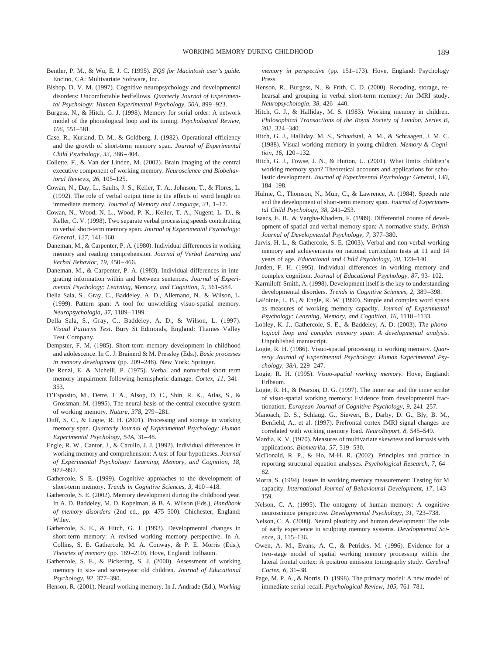- Bentler, P. M., & Wu, E. J. C. (1995). *EQS for Macintosh user's guide.* Encino, CA: Multivariate Software, Inc.
- Bishop, D. V. M. (1997). Cognitive neuropsychology and developmental disorders: Uncomfortable bedfellows. *Quarterly Journal of Experimental Psychology: Human Experimental Psychology, 50A,* 899–923.
- Burgess, N., & Hitch, G. J. (1998). Memory for serial order: A network model of the phonological loop and its timing. *Psychological Review, 106,* 551–581.
- Case, R., Kurland, D. M., & Goldberg, J. (1982). Operational efficiency and the growth of short-term memory span. *Journal of Experimental Child Psychology, 33,* 386–404.
- Collette, F., & Van der Linden, M. (2002). Brain imaging of the central executive component of working memory. *Neuroscience and Biobehavioral Reviews, 26,* 105–125.
- Cowan, N., Day, L., Saults, J. S., Keller, T. A., Johnson, T., & Flores, L. (1992). The role of verbal output time in the effects of word length on immediate memory. *Journal of Memory and Language, 31,* 1–17.
- Cowan, N., Wood, N. L., Wood, P. K., Keller, T. A., Nugent, L. D., & Keller, C. V. (1998). Two separate verbal processing speeds contributing to verbal short-term memory span. *Journal of Experimental Psychology: General, 127,* 141–160.
- Daneman, M., & Carpenter, P. A. (1980). Individual differences in working memory and reading comprehension. *Journal of Verbal Learning and Verbal Behavior, 19,* 450–466.
- Daneman, M., & Carpenter, P. A. (1983). Individual differences in integrating information within and between sentences. *Journal of Experimental Psychology: Learning, Memory, and Cognition, 9,* 561–584.
- Della Sala, S., Gray, C., Baddeley, A. D., Allemano, N., & Wilson, L. (1999). Pattern span: A tool for unwielding visuo-spatial memory. *Neuropsychologia, 37,* 1189–1199.
- Della Sala, S., Gray, C., Baddeley, A. D., & Wilson, L. (1997). *Visual Patterns Test.* Bury St Edmonds, England: Thames Valley Test Company.
- Dempster, F. M. (1985). Short-term memory development in childhood and adolescence. In C. J. Brainerd & M. Pressley (Eds.), *Basic processes in memory development* (pp. 209–248). New York: Springer.
- De Renzi, E. & Nichelli, P. (1975). Verbal and nonverbal short term memory impairment following hemispheric damage. *Cortex, 11,* 341– 353.
- D'Esposito, M., Detre, J. A., Alsop, D. C., Shin, R. K., Atlas, S., & Grossman, M. (1995). The neural basis of the central executive system of working memory. *Nature, 378,* 279–281.
- Duff, S. C., & Logie, R. H. (2001). Processing and storage in working memory span. *Quarterly Journal of Experimental Psychology: Human Experimental Psychology, 54A,* 31–48.
- Engle, R. W., Cantor, J., & Carullo, J. J. (1992). Individual differences in working memory and comprehension: A test of four hypotheses. *Journal of Experimental Psychology: Learning, Memory, and Cognition, 18,* 972–992.
- Gathercole, S. E. (1999). Cognitive approaches to the development of short-term memory. *Trends in Cognitive Sciences, 3,* 410–418.
- Gathercole, S. E. (2002). Memory development during the childhood year. In A. D. Baddeley, M. D. Kopelman, & B. A. Wilson (Eds.), *Handbook of memory disorders* (2nd ed., pp. 475–500). Chichester, England: Wiley.
- Gathercole, S. E., & Hitch, G. J. (1993). Developmental changes in short-term memory: A revised working memory perspective. In A. Collins, S. E. Gathercole, M. A. Conway, & P. E. Morris (Eds.), *Theories of memory* (pp. 189–210). Hove, England: Erlbaum.
- Gathercole, S. E., & Pickering, S. J. (2000). Assessment of working memory in six- and seven-year old children. *Journal of Educational Psychology, 92,* 377–390.
- Henson, R. (2001). Neural working memory. In J. Andrade (Ed.), *Working*

*memory in perspective* (pp. 151–173). Hove, England: Psychology Press.

- Henson, R., Burgess, N., & Frith, C. D. (2000). Recoding, storage, rehearsal and grouping in verbal short-term memory: An fMRI study. *Neuropsychologia, 38,* 426–440.
- Hitch, G. J., & Halliday, M. S. (1983). Working memory in children. *Philosophical Transactions of the Royal Society of London, Series B, 302,* 324–340.
- Hitch, G. J., Halliday, M. S., Schaafstal, A. M., & Schraagen, J. M. C. (1988). Visual working memory in young children. *Memory & Cognition, 16,* 120–132.
- Hitch, G. J., Towse, J. N., & Hutton, U. (2001). What limits children's working memory span? Theoretical accounts and applications for scholastic development. *Journal of Experimental Psychology: General, 130,* 184–198.
- Hulme, C., Thomson, N., Muir, C., & Lawrence, A. (1984). Speech rate and the development of short-term memory span. *Journal of Experimental Child Psychology, 38,* 241–253.
- Isaacs, E. B., & Vargha-Khadem, F. (1989). Differential course of development of spatial and verbal memory span: A normative study. *British Journal of Developmental Psychology, 7,* 377–380.
- Jarvis, H. L., & Gathercole, S. E. (2003). Verbal and non-verbal working memory and achievements on national curriculum tests at 11 and 14 years of age. *Educational and Child Psychology, 20,* 123–140.
- Jurden, F. H. (1995). Individual differences in working memory and complex cognition. *Journal of Educational Psychology, 87,* 93- 102.
- Karmiloff-Smith, A. (1998). Development itself is the key to understanding developmental disorders. *Trends in Cognitive Sciences, 2,* 389–398.
- LaPointe, L. B., & Engle, R. W. (1990). Simple and complex word spans as measures of working memory capacity. *Journal of Experimental Psychology: Learning, Memory, and Cognition, 16,* 1118–1133.
- Lobley, K. J., Gathercole, S. E., & Baddeley, A. D. (2003). *The phonological loop and complex memory span: A developmental analysis.* Unpublished manuscript.
- Logie, R. H. (1986). Visuo-spatial processing in working memory. *Quarterly Journal of Experimental Psychology: Human Experimental Psychology, 38A,* 229–247.
- Logie, R. H. (1995). *Visuo-spatial working memory.* Hove, England: Erlbaum.
- Logie, R. H., & Pearson, D. G. (1997). The inner ear and the inner scribe of visuo-spatial working memory: Evidence from developmental fractionation. *European Journal of Cognitive Psychology, 9,* 241–257.
- Manoach, D. S., Schlaug, G., Siewert, B., Darby, D. G., Bly, B. M., Benfield, A., et al. (1997). Prefrontal cortex fMRI signal changes are correlated with working memory load. *NeuroReport, 8,* 545–549.
- Mardia, K. V. (1970). Measures of multivariate skewness and kurtosis with applications. *Biometrika, 57,* 519–530.
- McDonald, R. P., & Ho, M-H. R. (2002). Principles and practice in reporting structural equation analyses. *Psychological Research, 7,* 64– 82.
- Morra, S. (1994). Issues in working memory measurement: Testing for M capacity. *International Journal of Behavioural Development, 17,* 143– 159.
- Nelson, C. A. (1995). The ontogeny of human memory: A cognitive neuroscience perspective. *Developmental Psychology, 31,* 723–738.
- Nelson, C. A. (2000). Neural plasticity and human development: The role of early experience in sculpting memory systems. *Developmental Science, 3,* 115–136.
- Owen, A. M., Evans, A. C., & Petrides, M. (1996). Evidence for a two-stage model of spatial working memory processing within the lateral frontal cortex: A positron emission tomography study. *Cerebral Cortex, 6,* 31–38.
- Page, M. P. A., & Norris, D. (1998). The primacy model: A new model of immediate serial recall. *Psychological Review, 105,* 761–781.